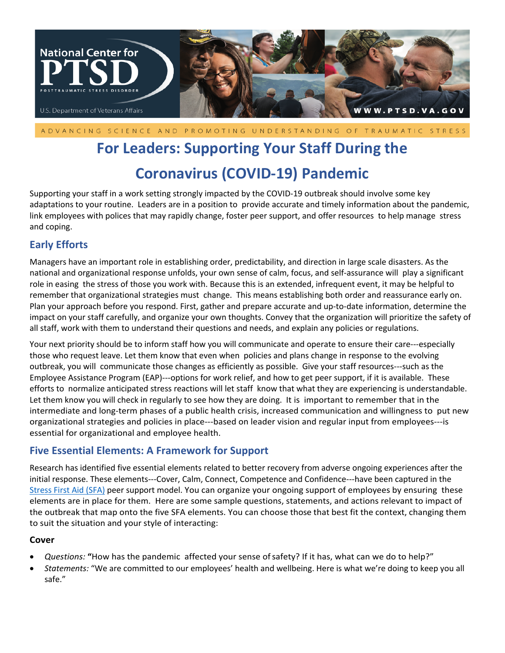

ADVANCING SCIENCE AND PROMOTING UNDERSTANDING OF TRAUMATIC STRESS

# **For Leaders: Supporting Your Staff During the**

# **Coronavirus (COVID-19) Pandemic**

Supporting your staff in a work setting strongly impacted by the COVID-19 outbreak should involve some key adaptations to your routine. Leaders are in a position to provide accurate and timely information about the pandemic, link employees with polices that may rapidly change, foster peer support, and offer resources to help manage stress and coping.

# **Early Efforts**

Managers have an important role in establishing order, predictability, and direction in large scale disasters. As the national and organizational response unfolds, your own sense of calm, focus, and self-assurance will play a significant role in easing the stress of those you work with. Because this is an extended, infrequent event, it may be helpful to remember that organizational strategies must change. This means establishing both order and reassurance early on. Plan your approach before you respond. First, gather and prepare accurate and up-to-date information, determine the impact on your staff carefully, and organize your own thoughts. Convey that the organization will prioritize the safety of all staff, work with them to understand their questions and needs, and explain any policies or regulations.

Your next priority should be to inform staff how you will communicate and operate to ensure their care---especially those who request leave. Let them know that even when policies and plans change in response to the evolving outbreak, you will communicate those changes as efficiently as possible. Give your staff resources---such as the Employee Assistance Program (EAP)---options for work relief, and how to get peer support, if it is available. These efforts to normalize anticipated stress reactions will let staff know that what they are experiencing is understandable. Let them know you will check in regularly to see how they are doing.It is important to remember that in the intermediate and long-term phases of a public health crisis, increased communication and willingness to put new organizational strategies and policies in place---based on leader vision and regular input from employees---is essential for organizational and employee health.

# **Five Essential Elements: A Framework for Support**

Research has identified five essential elements related to better recovery from adverse ongoing experiences after the initial response. These elements---Cover, Calm, Connect, Competence and Confidence---have been captured in the Stress First Aid (SFA) peer support model. You can organize your ongoing support of employees by ensuring these elements are in place for them. Here are some sample questions, statements, and actions relevant to impact of the outbreak that map onto the five SFA elements. You can choose those that best fit the context, changing them to suit the situation and your style of interacting:

#### **Cover**

- *Questions:* **"**How has the pandemic affected your sense ofsafety? If it has, what can we do to help?"
- *Statements:* "We are committed to our employees' health and wellbeing. Here is what we're doing to keep you all safe."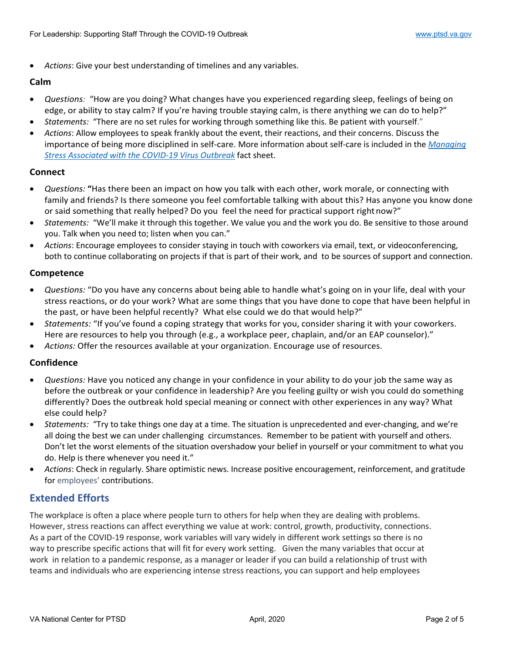• *Actions*: Give your best understanding of timelines and any variables.

#### **Calm**

- *Questions:* "How are you doing? What changes have you experienced regarding sleep, feelings of being on edge, or ability to stay calm? If you're having trouble staying calm, is there anything we can do to help?"
- *Statements:* "There are no set rules for working through something like this. Be patient with yourself."
- *Actions*: Allow employees to speak frankly about the event, their reactions, and their concerns. Discuss the importance of being more disciplined in self-care. More information about self-care is included in the *Managing Stress Associated with the COVID-19 Virus Outbreak* fact sheet.

#### **Connect**

- *Questions:* **"**Has there been an impact on how you talk with each other, work morale, or connecting with family and friends? Is there someone you feel comfortable talking with about this? Has anyone you know done or said something that really helped? Do you feel the need for practical support rightnow?"
- *Statements:* "We'll make it through this together. We value you and the work you do. Be sensitive to those around you. Talk when you need to; listen when you can."
- *Actions*: Encourage employees to consider staying in touch with coworkers via email, text, or videoconferencing, both to continue collaborating on projects if that is part of their work, and to be sources of support and connection.

#### **Competence**

- *Questions:* "Do you have any concerns about being able to handle what's going on in your life, deal with your stress reactions, or do your work? What are some things that you have done to cope that have been helpful in the past, or have been helpful recently? What else could we do that would help?"
- *Statements:* "If you've found a coping strategy that works for you, consider sharing it with your coworkers. Here are resources to help you through (e.g., a workplace peer, chaplain, and/or an EAP counselor)."
- *Actions:* Offer the resources available at your organization. Encourage use of resources.

#### **Confidence**

- *Questions:* Have you noticed any change in your confidence in your ability to do your job the same way as before the outbreak or your confidence in leadership? Are you feeling guilty or wish you could do something differently? Does the outbreak hold special meaning or connect with other experiences in any way? What else could help?
- *Statements:* "Try to take things one day at a time. The situation is unprecedented and ever-changing, and we're all doing the best we can under challenging circumstances. Remember to be patient with yourself and others. Don't let the worst elements of the situation overshadow your belief in yourself or your commitment to what you do. Help is there whenever you need it."
- *Actions*: Check in regularly. Share optimistic news. Increase positive encouragement, reinforcement, and gratitude for employees' contributions.

### **Extended Efforts**

The workplace is often a place where people turn to others for help when they are dealing with problems. However, stress reactions can affect everything we value at work: control, growth, productivity, connections. As a part of the COVID-19 response, work variables will vary widely in different work settings so there is no way to prescribe specific actions that will fit for every work setting. Given the many variables that occur at work in relation to a pandemic response, as a manager or leader if you can build a relationship of trust with teams and individuals who are experiencing intense stress reactions, you can support and help employees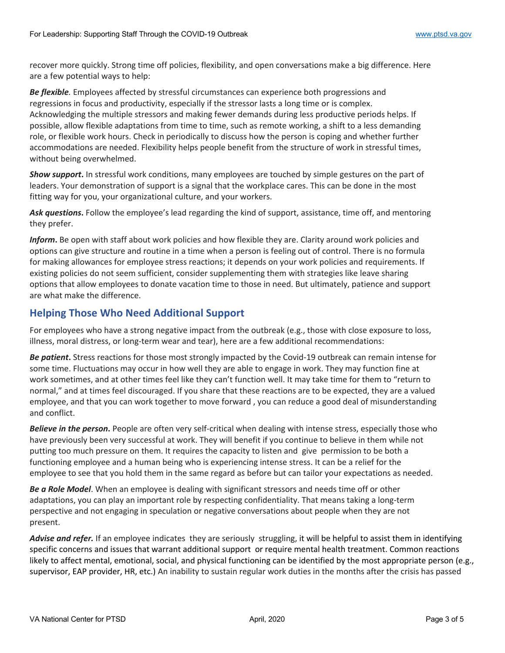recover more quickly. Strong time off policies, flexibility, and open conversations make a big difference. Here are a few potential ways to help:

*Be flexible.* Employees affected by stressful circumstances can experience both progressions and regressions in focus and productivity, especially if the stressor lasts a long time or is complex. Acknowledging the multiple stressors and making fewer demands during less productive periods helps. If possible, allow flexible adaptations from time to time, such as remote working, a shift to a less demanding role, or flexible work hours. Check in periodically to discuss how the person is coping and whether further accommodations are needed. Flexibility helps people benefit from the structure of work in stressful times, without being overwhelmed.

*Show support***.** In stressful work conditions, many employees are touched by simple gestures on the part of leaders. Your demonstration of support is a signal that the workplace cares. This can be done in the most fitting way for you, your organizational culture, and your workers.

*Ask questions***.** Follow the employee's lead regarding the kind of support, assistance, time off, and mentoring they prefer.

*Inform***.** Be open with staff about work policies and how flexible they are. Clarity around work policies and options can give structure and routine in a time when a person is feeling out of control. There is no formula for making allowances for employee stress reactions; it depends on your work policies and requirements. If existing policies do not seem sufficient, consider supplementing them with strategies like leave sharing options that allow employees to donate vacation time to those in need. But ultimately, patience and support are what make the difference.

# **Helping Those Who Need Additional Support**

For employees who have a strong negative impact from the outbreak (e.g., those with close exposure to loss, illness, moral distress, or long-term wear and tear), here are a few additional recommendations:

*Be patient***.** Stress reactions for those most strongly impacted by the Covid-19 outbreak can remain intense for some time. Fluctuations may occur in how well they are able to engage in work. They may function fine at work sometimes, and at other times feel like they can't function well. It may take time for them to "return to normal," and at times feel discouraged. If you share that these reactions are to be expected, they are a valued employee, and that you can work together to move forward , you can reduce a good deal of misunderstanding and conflict.

*Believe in the person***.** People are often very self-critical when dealing with intense stress, especially those who have previously been very successful at work. They will benefit if you continue to believe in them while not putting too much pressure on them. It requires the capacity to listen and give permission to be both a functioning employee and a human being who is experiencing intense stress. It can be a relief for the employee to see that you hold them in the same regard as before but can tailor your expectations as needed.

*Be a Role Model*. When an employee is dealing with significant stressors and needs time off or other adaptations, you can play an important role by respecting confidentiality. That means taking a long-term perspective and not engaging in speculation or negative conversations about people when they are not present.

*Advise and refer.* If an employee indicates they are seriously struggling, it will be helpful to assist them in identifying specific concerns and issues that warrant additional support or require mental health treatment. Common reactions likely to affect mental, emotional, social, and physical functioning can be identified by the most appropriate person (e.g., supervisor, EAP provider, HR, etc.) An inability to sustain regular work duties in the months after the crisis has passed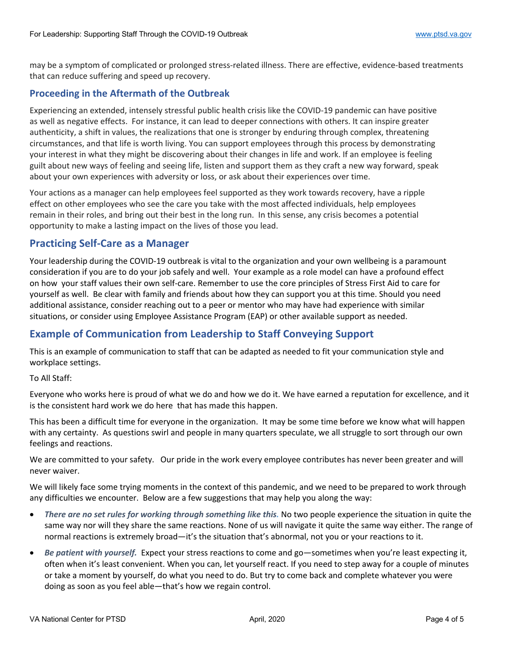may be a symptom of complicated or prolonged stress-related illness. There are effective, evidence-based treatments that can reduce suffering and speed up recovery.

#### **Proceeding in the Aftermath of the Outbreak**

Experiencing an extended, intensely stressful public health crisis like the COVID-19 pandemic can have positive as well as negative effects. For instance, it can lead to deeper connections with others. It can inspire greater authenticity, a shift in values, the realizations that one is stronger by enduring through complex, threatening circumstances, and that life is worth living. You can support employees through this process by demonstrating your interest in what they might be discovering about their changes in life and work. If an employee is feeling guilt about new ways of feeling and seeing life, listen and support them as they craft a new way forward, speak about your own experiences with adversity or loss, or ask about their experiences over time.

Your actions as a manager can help employees feel supported as they work towards recovery, have a ripple effect on other employees who see the care you take with the most affected individuals, help employees remain in their roles, and bring out their best in the long run. In this sense, any crisis becomes a potential opportunity to make a lasting impact on the lives of those you lead.

# **Practicing Self-Care as a Manager**

Your leadership during the COVID-19 outbreak is vital to the organization and your own wellbeing is a paramount consideration if you are to do your job safely and well. Your example as a role model can have a profound effect on how your staff values their own self-care. Remember to use the core principles of Stress First Aid to care for yourself as well. Be clear with family and friends about how they can support you at this time. Should you need additional assistance, consider reaching out to a peer or mentor who may have had experience with similar situations, or consider using Employee Assistance Program (EAP) or other available support as needed.

# **Example of Communication from Leadership to Staff Conveying Support**

This is an example of communication to staff that can be adapted as needed to fit your communication style and workplace settings.

#### To All Staff:

Everyone who works here is proud of what we do and how we do it. We have earned a reputation for excellence, and it is the consistent hard work we do here that has made this happen.

This has been a difficult time for everyone in the organization. It may be some time before we know what will happen with any certainty. As questions swirl and people in many quarters speculate, we all struggle to sort through our own feelings and reactions.

We are committed to your safety. Our pride in the work every employee contributes has never been greater and will never waiver.

We will likely face some trying moments in the context of this pandemic, and we need to be prepared to work through any difficulties we encounter. Below are a few suggestions that may help you along the way:

- *There are no set rules for working through something like this.* No two people experience the situation in quite the same way nor will they share the same reactions. None of us will navigate it quite the same way either. The range of normal reactions is extremely broad—it's the situation that's abnormal, not you or your reactions to it.
- *Be patient with yourself.* Expect your stress reactions to come and go—sometimes when you're least expecting it, often when it's least convenient. When you can, let yourself react. If you need to step away for a couple of minutes or take a moment by yourself, do what you need to do. But try to come back and complete whatever you were doing as soon as you feel able—that's how we regain control.